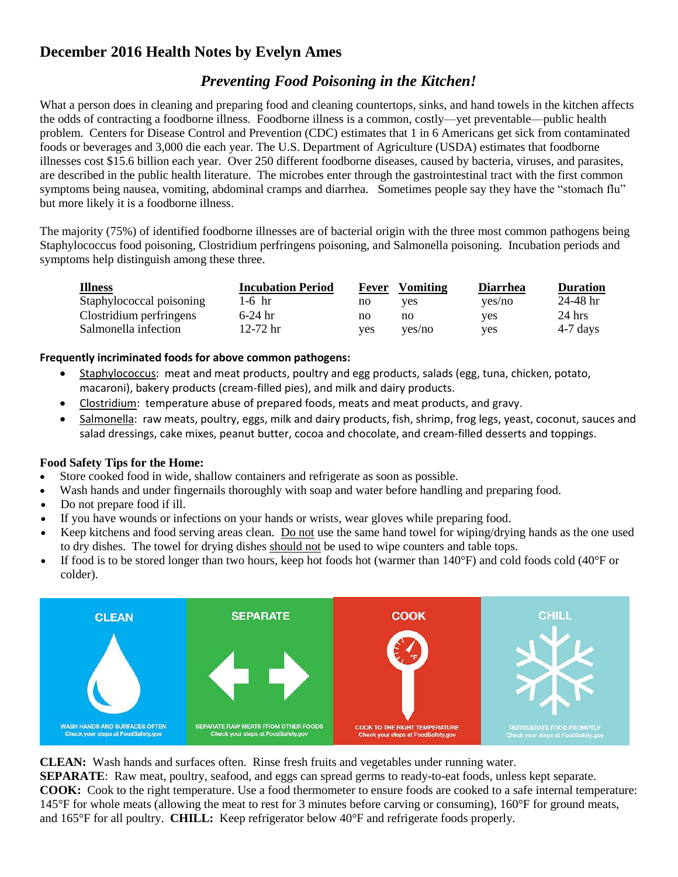## **December 2016 Health Notes by Evelyn Ames**

## *Preventing Food Poisoning in the Kitchen!*

What a person does in cleaning and preparing food and cleaning countertops, sinks, and hand towels in the kitchen affects the odds of contracting a foodborne illness. Foodborne illness is a common, costly—yet preventable—public health problem. Centers for Disease Control and Prevention (CDC) estimates that 1 in 6 Americans get sick from contaminated foods or beverages and 3,000 die each year. The U.S. Department of Agriculture (USDA) estimates that foodborne illnesses cost \$15.6 billion each year. Over 250 different foodborne diseases, caused by bacteria, viruses, and parasites, are described in the public health literature. The microbes enter through the gastrointestinal tract with the first common symptoms being nausea, vomiting, abdominal cramps and diarrhea. Sometimes people say they have the "stomach flu" but more likely it is a foodborne illness.

The majority (75%) of identified foodborne illnesses are of bacterial origin with the three most common pathogens being Staphylococcus food poisoning, Clostridium perfringens poisoning, and Salmonella poisoning. Incubation periods and symptoms help distinguish among these three.

| <b>Illness</b>           | <b>Incubation Period</b> | Fever | <b>Vomiting</b> | <b>Diarrhea</b> | <b>Duration</b> |
|--------------------------|--------------------------|-------|-----------------|-----------------|-----------------|
| Staphylococcal poisoning | $1-6$ hr                 | no    | yes             | yes/no          | 24-48 hr        |
| Clostridium perfringens  | $6-24$ hr                | no    | no              | yes             | $24$ hrs        |
| Salmonella infection     | 12-72 hr                 | yes.  | ves/no          | ves             | $4-7$ days      |

## **Frequently incriminated foods for above common pathogens:**

- Staphylococcus: meat and meat products, poultry and egg products, salads (egg, tuna, chicken, potato, macaroni), bakery products (cream-filled pies), and milk and dairy products.
- Clostridium: temperature abuse of prepared foods, meats and meat products, and gravy.
- Salmonella: raw meats, poultry, eggs, milk and dairy products, fish, shrimp, frog legs, yeast, coconut, sauces and salad dressings, cake mixes, peanut butter, cocoa and chocolate, and cream-filled desserts and toppings.

## **Food Safety Tips for the Home:**

- Store cooked food in wide, shallow containers and refrigerate as soon as possible.
- Wash hands and under fingernails thoroughly with soap and water before handling and preparing food.
- Do not prepare food if ill.
- If you have wounds or infections on your hands or wrists, wear gloves while preparing food.
- Keep kitchens and food serving areas clean. Do not use the same hand towel for wiping/drying hands as the one used to dry dishes. The towel for drying dishes should not be used to wipe counters and table tops.
- If food is to be stored longer than two hours, keep hot foods hot (warmer than  $140^{\circ}$ F) and cold foods cold ( $40^{\circ}$ F or colder).



**CLEAN:** Wash hands and surfaces often. Rinse fresh fruits and vegetables under running water.

**SEPARATE:** Raw meat, poultry, seafood, and eggs can spread germs to ready-to-eat foods, unless kept separate. **COOK:** Cook to the [right temperature.](http://www.foodsafety.gov/keep/charts/mintemp.html) Use a food thermometer to ensure foods are cooked to a safe internal temperature: 145°F for whole meats (allowing the meat to rest for 3 minutes before carving or consuming), 160°F for ground meats, and 165°F for all poultry. **CHILL:** Keep refrigerator below 40°F and refrigerate foods properly.